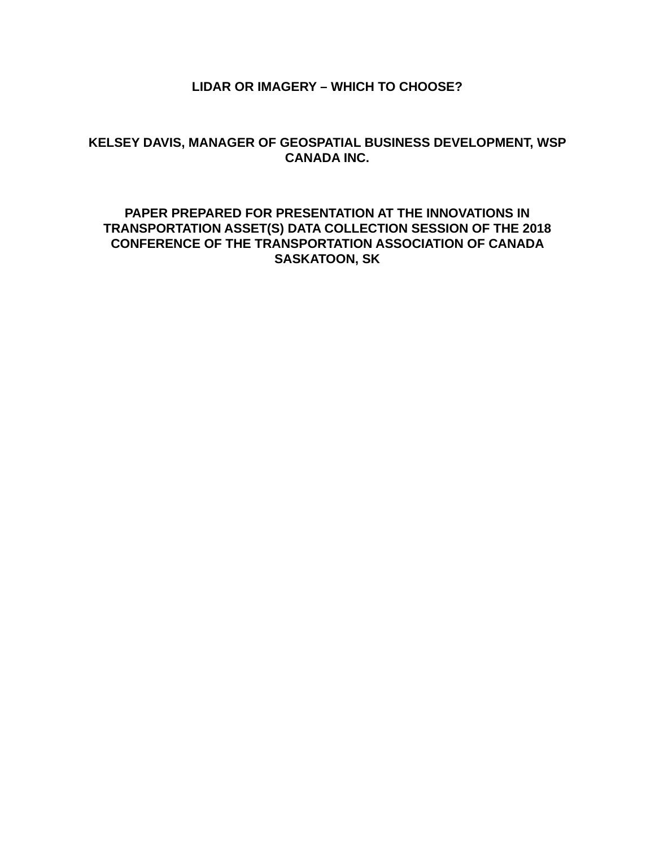## **LIDAR OR IMAGERY – WHICH TO CHOOSE?**

# **KELSEY DAVIS, MANAGER OF GEOSPATIAL BUSINESS DEVELOPMENT, WSP CANADA INC.**

## **PAPER PREPARED FOR PRESENTATION AT THE INNOVATIONS IN TRANSPORTATION ASSET(S) DATA COLLECTION SESSION OF THE 2018 CONFERENCE OF THE TRANSPORTATION ASSOCIATION OF CANADA SASKATOON, SK**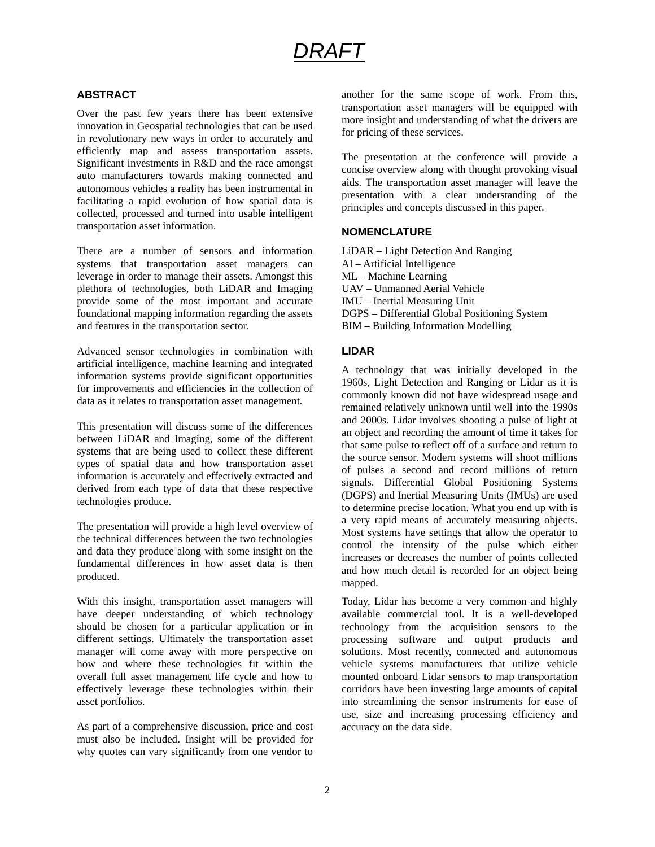# *DRAFT*

## **ABSTRACT**

Over the past few years there has been extensive innovation in Geospatial technologies that can be used in revolutionary new ways in order to accurately and efficiently map and assess transportation assets. Significant investments in R&D and the race amongst auto manufacturers towards making connected and autonomous vehicles a reality has been instrumental in facilitating a rapid evolution of how spatial data is collected, processed and turned into usable intelligent transportation asset information.

There are a number of sensors and information systems that transportation asset managers can leverage in order to manage their assets. Amongst this plethora of technologies, both LiDAR and Imaging provide some of the most important and accurate foundational mapping information regarding the assets and features in the transportation sector.

Advanced sensor technologies in combination with artificial intelligence, machine learning and integrated information systems provide significant opportunities for improvements and efficiencies in the collection of data as it relates to transportation asset management.

This presentation will discuss some of the differences between LiDAR and Imaging, some of the different systems that are being used to collect these different types of spatial data and how transportation asset information is accurately and effectively extracted and derived from each type of data that these respective technologies produce.

The presentation will provide a high level overview of the technical differences between the two technologies and data they produce along with some insight on the fundamental differences in how asset data is then produced.

With this insight, transportation asset managers will have deeper understanding of which technology should be chosen for a particular application or in different settings. Ultimately the transportation asset manager will come away with more perspective on how and where these technologies fit within the overall full asset management life cycle and how to effectively leverage these technologies within their asset portfolios.

As part of a comprehensive discussion, price and cost must also be included. Insight will be provided for why quotes can vary significantly from one vendor to

another for the same scope of work. From this, transportation asset managers will be equipped with more insight and understanding of what the drivers are for pricing of these services.

The presentation at the conference will provide a concise overview along with thought provoking visual aids. The transportation asset manager will leave the presentation with a clear understanding of the principles and concepts discussed in this paper.

#### **NOMENCLATURE**

LiDAR – Light Detection And Ranging AI – Artificial Intelligence ML – Machine Learning UAV – Unmanned Aerial Vehicle IMU – Inertial Measuring Unit DGPS – Differential Global Positioning System BIM – Building Information Modelling

#### **LIDAR**

A technology that was initially developed in the 1960s, Light Detection and Ranging or Lidar as it is commonly known did not have widespread usage and remained relatively unknown until well into the 1990s and 2000s. Lidar involves shooting a pulse of light at an object and recording the amount of time it takes for that same pulse to reflect off of a surface and return to the source sensor. Modern systems will shoot millions of pulses a second and record millions of return signals. Differential Global Positioning Systems (DGPS) and Inertial Measuring Units (IMUs) are used to determine precise location. What you end up with is a very rapid means of accurately measuring objects. Most systems have settings that allow the operator to control the intensity of the pulse which either increases or decreases the number of points collected and how much detail is recorded for an object being mapped.

Today, Lidar has become a very common and highly available commercial tool. It is a well-developed technology from the acquisition sensors to the processing software and output products and solutions. Most recently, connected and autonomous vehicle systems manufacturers that utilize vehicle mounted onboard Lidar sensors to map transportation corridors have been investing large amounts of capital into streamlining the sensor instruments for ease of use, size and increasing processing efficiency and accuracy on the data side.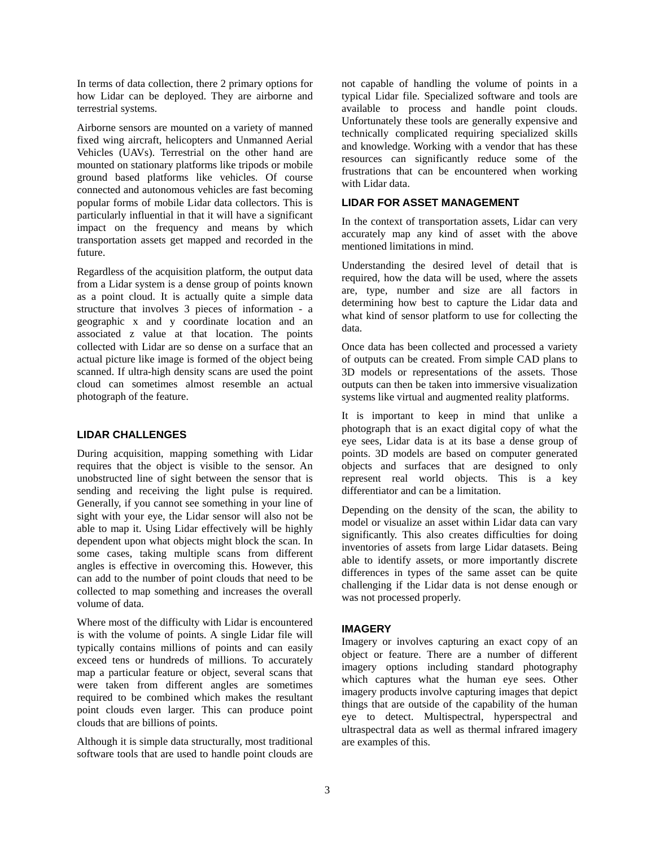In terms of data collection, there 2 primary options for how Lidar can be deployed. They are airborne and terrestrial systems.

Airborne sensors are mounted on a variety of manned fixed wing aircraft, helicopters and Unmanned Aerial Vehicles (UAVs). Terrestrial on the other hand are mounted on stationary platforms like tripods or mobile ground based platforms like vehicles. Of course connected and autonomous vehicles are fast becoming popular forms of mobile Lidar data collectors. This is particularly influential in that it will have a significant impact on the frequency and means by which transportation assets get mapped and recorded in the future.

Regardless of the acquisition platform, the output data from a Lidar system is a dense group of points known as a point cloud. It is actually quite a simple data structure that involves 3 pieces of information - a geographic x and y coordinate location and an associated z value at that location. The points collected with Lidar are so dense on a surface that an actual picture like image is formed of the object being scanned. If ultra-high density scans are used the point cloud can sometimes almost resemble an actual photograph of the feature.

#### **LIDAR CHALLENGES**

During acquisition, mapping something with Lidar requires that the object is visible to the sensor. An unobstructed line of sight between the sensor that is sending and receiving the light pulse is required. Generally, if you cannot see something in your line of sight with your eye, the Lidar sensor will also not be able to map it. Using Lidar effectively will be highly dependent upon what objects might block the scan. In some cases, taking multiple scans from different angles is effective in overcoming this. However, this can add to the number of point clouds that need to be collected to map something and increases the overall volume of data.

Where most of the difficulty with Lidar is encountered is with the volume of points. A single Lidar file will typically contains millions of points and can easily exceed tens or hundreds of millions. To accurately map a particular feature or object, several scans that were taken from different angles are sometimes required to be combined which makes the resultant point clouds even larger. This can produce point clouds that are billions of points.

Although it is simple data structurally, most traditional software tools that are used to handle point clouds are not capable of handling the volume of points in a typical Lidar file. Specialized software and tools are available to process and handle point clouds. Unfortunately these tools are generally expensive and technically complicated requiring specialized skills and knowledge. Working with a vendor that has these resources can significantly reduce some of the frustrations that can be encountered when working with Lidar data.

#### **LIDAR FOR ASSET MANAGEMENT**

In the context of transportation assets, Lidar can very accurately map any kind of asset with the above mentioned limitations in mind.

Understanding the desired level of detail that is required, how the data will be used, where the assets are, type, number and size are all factors in determining how best to capture the Lidar data and what kind of sensor platform to use for collecting the data.

Once data has been collected and processed a variety of outputs can be created. From simple CAD plans to 3D models or representations of the assets. Those outputs can then be taken into immersive visualization systems like virtual and augmented reality platforms.

It is important to keep in mind that unlike a photograph that is an exact digital copy of what the eye sees, Lidar data is at its base a dense group of points. 3D models are based on computer generated objects and surfaces that are designed to only represent real world objects. This is a key differentiator and can be a limitation.

Depending on the density of the scan, the ability to model or visualize an asset within Lidar data can vary significantly. This also creates difficulties for doing inventories of assets from large Lidar datasets. Being able to identify assets, or more importantly discrete differences in types of the same asset can be quite challenging if the Lidar data is not dense enough or was not processed properly.

#### **IMAGERY**

Imagery or involves capturing an exact copy of an object or feature. There are a number of different imagery options including standard photography which captures what the human eye sees. Other imagery products involve capturing images that depict things that are outside of the capability of the human eye to detect. Multispectral, hyperspectral and ultraspectral data as well as thermal infrared imagery are examples of this.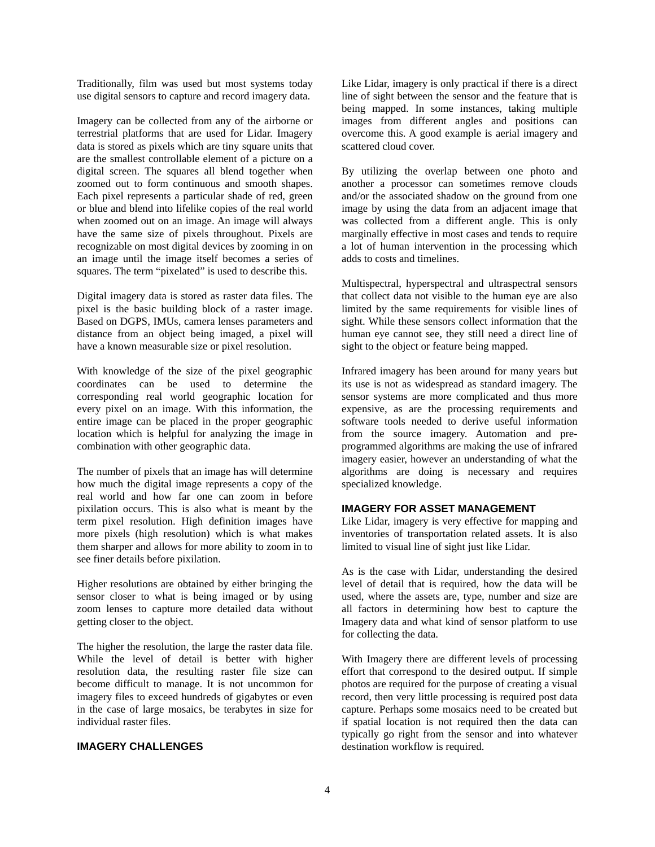Traditionally, film was used but most systems today use digital sensors to capture and record imagery data.

Imagery can be collected from any of the airborne or terrestrial platforms that are used for Lidar. Imagery data is stored as pixels which are tiny square units that are the smallest controllable element of a picture on a digital screen. The squares all blend together when zoomed out to form continuous and smooth shapes. Each pixel represents a particular shade of red, green or blue and blend into lifelike copies of the real world when zoomed out on an image. An image will always have the same size of pixels throughout. Pixels are recognizable on most digital devices by zooming in on an image until the image itself becomes a series of squares. The term "pixelated" is used to describe this.

Digital imagery data is stored as raster data files. The pixel is the basic building block of a raster image. Based on DGPS, IMUs, camera lenses parameters and distance from an object being imaged, a pixel will have a known measurable size or pixel resolution.

With knowledge of the size of the pixel geographic coordinates can be used to determine the corresponding real world geographic location for every pixel on an image. With this information, the entire image can be placed in the proper geographic location which is helpful for analyzing the image in combination with other geographic data.

The number of pixels that an image has will determine how much the digital image represents a copy of the real world and how far one can zoom in before pixilation occurs. This is also what is meant by the term pixel resolution. High definition images have more pixels (high resolution) which is what makes them sharper and allows for more ability to zoom in to see finer details before pixilation.

Higher resolutions are obtained by either bringing the sensor closer to what is being imaged or by using zoom lenses to capture more detailed data without getting closer to the object.

The higher the resolution, the large the raster data file. While the level of detail is better with higher resolution data, the resulting raster file size can become difficult to manage. It is not uncommon for imagery files to exceed hundreds of gigabytes or even in the case of large mosaics, be terabytes in size for individual raster files.

#### **IMAGERY CHALLENGES**

Like Lidar, imagery is only practical if there is a direct line of sight between the sensor and the feature that is being mapped. In some instances, taking multiple images from different angles and positions can overcome this. A good example is aerial imagery and scattered cloud cover.

By utilizing the overlap between one photo and another a processor can sometimes remove clouds and/or the associated shadow on the ground from one image by using the data from an adjacent image that was collected from a different angle. This is only marginally effective in most cases and tends to require a lot of human intervention in the processing which adds to costs and timelines.

Multispectral, hyperspectral and ultraspectral sensors that collect data not visible to the human eye are also limited by the same requirements for visible lines of sight. While these sensors collect information that the human eye cannot see, they still need a direct line of sight to the object or feature being mapped.

Infrared imagery has been around for many years but its use is not as widespread as standard imagery. The sensor systems are more complicated and thus more expensive, as are the processing requirements and software tools needed to derive useful information from the source imagery. Automation and preprogrammed algorithms are making the use of infrared imagery easier, however an understanding of what the algorithms are doing is necessary and requires specialized knowledge.

#### **IMAGERY FOR ASSET MANAGEMENT**

Like Lidar, imagery is very effective for mapping and inventories of transportation related assets. It is also limited to visual line of sight just like Lidar.

As is the case with Lidar, understanding the desired level of detail that is required, how the data will be used, where the assets are, type, number and size are all factors in determining how best to capture the Imagery data and what kind of sensor platform to use for collecting the data.

With Imagery there are different levels of processing effort that correspond to the desired output. If simple photos are required for the purpose of creating a visual record, then very little processing is required post data capture. Perhaps some mosaics need to be created but if spatial location is not required then the data can typically go right from the sensor and into whatever destination workflow is required.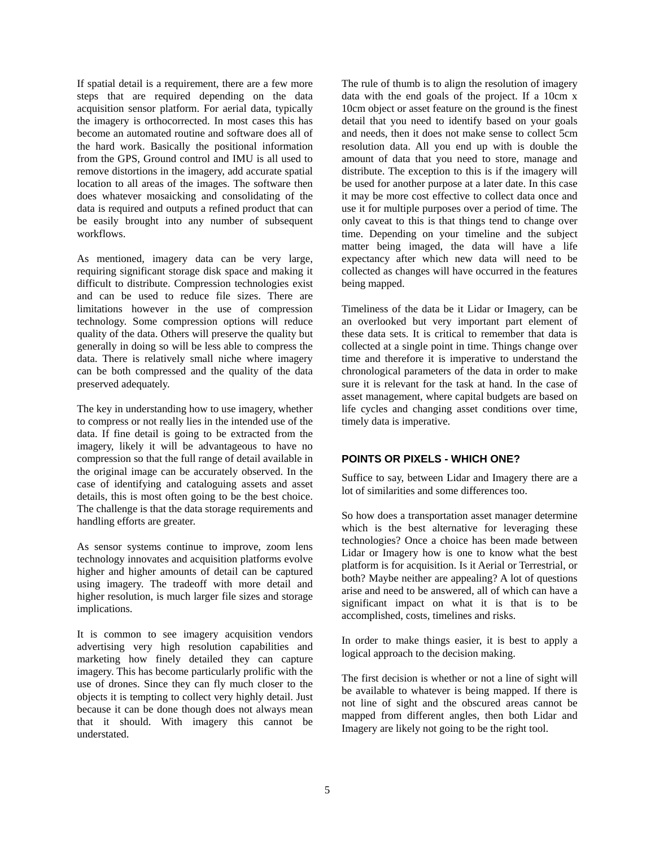If spatial detail is a requirement, there are a few more steps that are required depending on the data acquisition sensor platform. For aerial data, typically the imagery is orthocorrected. In most cases this has become an automated routine and software does all of the hard work. Basically the positional information from the GPS, Ground control and IMU is all used to remove distortions in the imagery, add accurate spatial location to all areas of the images. The software then does whatever mosaicking and consolidating of the data is required and outputs a refined product that can be easily brought into any number of subsequent workflows.

As mentioned, imagery data can be very large, requiring significant storage disk space and making it difficult to distribute. Compression technologies exist and can be used to reduce file sizes. There are limitations however in the use of compression technology. Some compression options will reduce quality of the data. Others will preserve the quality but generally in doing so will be less able to compress the data. There is relatively small niche where imagery can be both compressed and the quality of the data preserved adequately.

The key in understanding how to use imagery, whether to compress or not really lies in the intended use of the data. If fine detail is going to be extracted from the imagery, likely it will be advantageous to have no compression so that the full range of detail available in the original image can be accurately observed. In the case of identifying and cataloguing assets and asset details, this is most often going to be the best choice. The challenge is that the data storage requirements and handling efforts are greater.

As sensor systems continue to improve, zoom lens technology innovates and acquisition platforms evolve higher and higher amounts of detail can be captured using imagery. The tradeoff with more detail and higher resolution, is much larger file sizes and storage implications.

It is common to see imagery acquisition vendors advertising very high resolution capabilities and marketing how finely detailed they can capture imagery. This has become particularly prolific with the use of drones. Since they can fly much closer to the objects it is tempting to collect very highly detail. Just because it can be done though does not always mean that it should. With imagery this cannot be understated.

The rule of thumb is to align the resolution of imagery data with the end goals of the project. If a 10cm x 10cm object or asset feature on the ground is the finest detail that you need to identify based on your goals and needs, then it does not make sense to collect 5cm resolution data. All you end up with is double the amount of data that you need to store, manage and distribute. The exception to this is if the imagery will be used for another purpose at a later date. In this case it may be more cost effective to collect data once and use it for multiple purposes over a period of time. The only caveat to this is that things tend to change over time. Depending on your timeline and the subject matter being imaged, the data will have a life expectancy after which new data will need to be collected as changes will have occurred in the features being mapped.

Timeliness of the data be it Lidar or Imagery, can be an overlooked but very important part element of these data sets. It is critical to remember that data is collected at a single point in time. Things change over time and therefore it is imperative to understand the chronological parameters of the data in order to make sure it is relevant for the task at hand. In the case of asset management, where capital budgets are based on life cycles and changing asset conditions over time, timely data is imperative.

### **POINTS OR PIXELS - WHICH ONE?**

Suffice to say, between Lidar and Imagery there are a lot of similarities and some differences too.

So how does a transportation asset manager determine which is the best alternative for leveraging these technologies? Once a choice has been made between Lidar or Imagery how is one to know what the best platform is for acquisition. Is it Aerial or Terrestrial, or both? Maybe neither are appealing? A lot of questions arise and need to be answered, all of which can have a significant impact on what it is that is to be accomplished, costs, timelines and risks.

In order to make things easier, it is best to apply a logical approach to the decision making.

The first decision is whether or not a line of sight will be available to whatever is being mapped. If there is not line of sight and the obscured areas cannot be mapped from different angles, then both Lidar and Imagery are likely not going to be the right tool.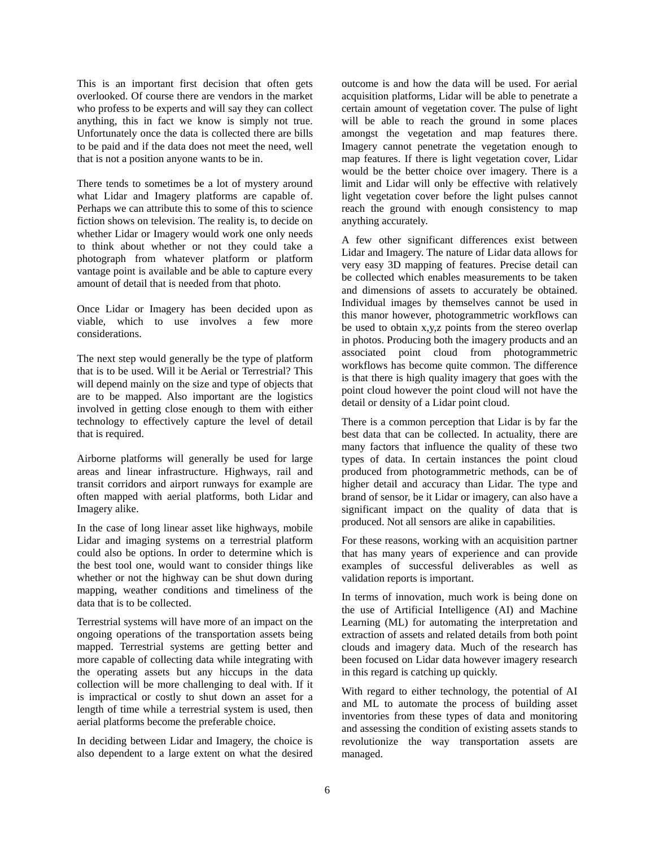This is an important first decision that often gets overlooked. Of course there are vendors in the market who profess to be experts and will say they can collect anything, this in fact we know is simply not true. Unfortunately once the data is collected there are bills to be paid and if the data does not meet the need, well that is not a position anyone wants to be in.

There tends to sometimes be a lot of mystery around what Lidar and Imagery platforms are capable of. Perhaps we can attribute this to some of this to science fiction shows on television. The reality is, to decide on whether Lidar or Imagery would work one only needs to think about whether or not they could take a photograph from whatever platform or platform vantage point is available and be able to capture every amount of detail that is needed from that photo.

Once Lidar or Imagery has been decided upon as viable, which to use involves a few more considerations.

The next step would generally be the type of platform that is to be used. Will it be Aerial or Terrestrial? This will depend mainly on the size and type of objects that are to be mapped. Also important are the logistics involved in getting close enough to them with either technology to effectively capture the level of detail that is required.

Airborne platforms will generally be used for large areas and linear infrastructure. Highways, rail and transit corridors and airport runways for example are often mapped with aerial platforms, both Lidar and Imagery alike.

In the case of long linear asset like highways, mobile Lidar and imaging systems on a terrestrial platform could also be options. In order to determine which is the best tool one, would want to consider things like whether or not the highway can be shut down during mapping, weather conditions and timeliness of the data that is to be collected.

Terrestrial systems will have more of an impact on the ongoing operations of the transportation assets being mapped. Terrestrial systems are getting better and more capable of collecting data while integrating with the operating assets but any hiccups in the data collection will be more challenging to deal with. If it is impractical or costly to shut down an asset for a length of time while a terrestrial system is used, then aerial platforms become the preferable choice.

In deciding between Lidar and Imagery, the choice is also dependent to a large extent on what the desired outcome is and how the data will be used. For aerial acquisition platforms, Lidar will be able to penetrate a certain amount of vegetation cover. The pulse of light will be able to reach the ground in some places amongst the vegetation and map features there. Imagery cannot penetrate the vegetation enough to map features. If there is light vegetation cover, Lidar would be the better choice over imagery. There is a limit and Lidar will only be effective with relatively light vegetation cover before the light pulses cannot reach the ground with enough consistency to map anything accurately.

A few other significant differences exist between Lidar and Imagery. The nature of Lidar data allows for very easy 3D mapping of features. Precise detail can be collected which enables measurements to be taken and dimensions of assets to accurately be obtained. Individual images by themselves cannot be used in this manor however, photogrammetric workflows can be used to obtain x,y,z points from the stereo overlap in photos. Producing both the imagery products and an associated point cloud from photogrammetric workflows has become quite common. The difference is that there is high quality imagery that goes with the point cloud however the point cloud will not have the detail or density of a Lidar point cloud.

There is a common perception that Lidar is by far the best data that can be collected. In actuality, there are many factors that influence the quality of these two types of data. In certain instances the point cloud produced from photogrammetric methods, can be of higher detail and accuracy than Lidar. The type and brand of sensor, be it Lidar or imagery, can also have a significant impact on the quality of data that is produced. Not all sensors are alike in capabilities.

For these reasons, working with an acquisition partner that has many years of experience and can provide examples of successful deliverables as well as validation reports is important.

In terms of innovation, much work is being done on the use of Artificial Intelligence (AI) and Machine Learning (ML) for automating the interpretation and extraction of assets and related details from both point clouds and imagery data. Much of the research has been focused on Lidar data however imagery research in this regard is catching up quickly.

With regard to either technology, the potential of AI and ML to automate the process of building asset inventories from these types of data and monitoring and assessing the condition of existing assets stands to revolutionize the way transportation assets are managed.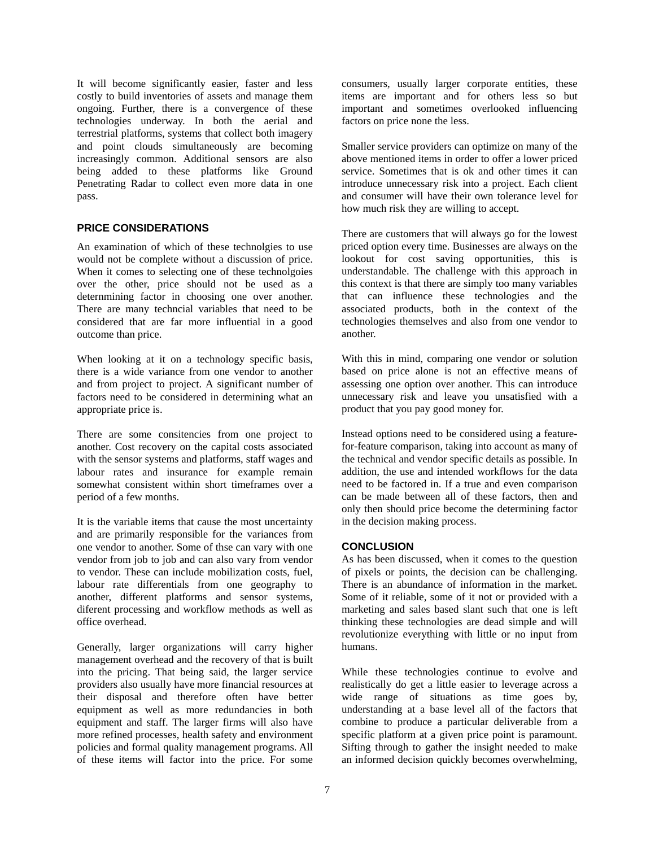It will become significantly easier, faster and less costly to build inventories of assets and manage them ongoing. Further, there is a convergence of these technologies underway. In both the aerial and terrestrial platforms, systems that collect both imagery and point clouds simultaneously are becoming increasingly common. Additional sensors are also being added to these platforms like Ground Penetrating Radar to collect even more data in one pass.

#### **PRICE CONSIDERATIONS**

An examination of which of these technolgies to use would not be complete without a discussion of price. When it comes to selecting one of these technolgoies over the other, price should not be used as a deternmining factor in choosing one over another. There are many techncial variables that need to be considered that are far more influential in a good outcome than price.

When looking at it on a technology specific basis, there is a wide variance from one vendor to another and from project to project. A significant number of factors need to be considered in determining what an appropriate price is.

There are some consitencies from one project to another. Cost recovery on the capital costs associated with the sensor systems and platforms, staff wages and labour rates and insurance for example remain somewhat consistent within short timeframes over a period of a few months.

It is the variable items that cause the most uncertainty and are primarily responsible for the variances from one vendor to another. Some of thse can vary with one vendor from job to job and can also vary from vendor to vendor. These can include mobilization costs, fuel, labour rate differentials from one geography to another, different platforms and sensor systems, diferent processing and workflow methods as well as office overhead.

Generally, larger organizations will carry higher management overhead and the recovery of that is built into the pricing. That being said, the larger service providers also usually have more financial resources at their disposal and therefore often have better equipment as well as more redundancies in both equipment and staff. The larger firms will also have more refined processes, health safety and environment policies and formal quality management programs. All of these items will factor into the price. For some consumers, usually larger corporate entities, these items are important and for others less so but important and sometimes overlooked influencing factors on price none the less.

Smaller service providers can optimize on many of the above mentioned items in order to offer a lower priced service. Sometimes that is ok and other times it can introduce unnecessary risk into a project. Each client and consumer will have their own tolerance level for how much risk they are willing to accept.

There are customers that will always go for the lowest priced option every time. Businesses are always on the lookout for cost saving opportunities, this is understandable. The challenge with this approach in this context is that there are simply too many variables that can influence these technologies and the associated products, both in the context of the technologies themselves and also from one vendor to another.

With this in mind, comparing one vendor or solution based on price alone is not an effective means of assessing one option over another. This can introduce unnecessary risk and leave you unsatisfied with a product that you pay good money for.

Instead options need to be considered using a featurefor-feature comparison, taking into account as many of the technical and vendor specific details as possible. In addition, the use and intended workflows for the data need to be factored in. If a true and even comparison can be made between all of these factors, then and only then should price become the determining factor in the decision making process.

#### **CONCLUSION**

As has been discussed, when it comes to the question of pixels or points, the decision can be challenging. There is an abundance of information in the market. Some of it reliable, some of it not or provided with a marketing and sales based slant such that one is left thinking these technologies are dead simple and will revolutionize everything with little or no input from humans.

While these technologies continue to evolve and realistically do get a little easier to leverage across a wide range of situations as time goes by, understanding at a base level all of the factors that combine to produce a particular deliverable from a specific platform at a given price point is paramount. Sifting through to gather the insight needed to make an informed decision quickly becomes overwhelming,